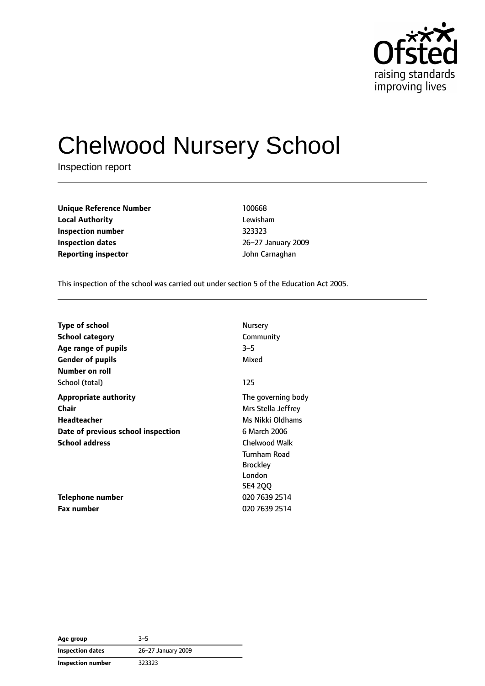

# Chelwood Nursery School

Inspection report

| <b>Unique Reference Number</b> | 100668          |
|--------------------------------|-----------------|
| <b>Local Authority</b>         | Lewisham        |
| Inspection number              | 323323          |
| Inspection dates               | 26-27 January 2 |
| <b>Reporting inspector</b>     | John Carnaghan  |

**Local Authority** Lewisham **Inspection number** 323323 **Inspection dates** 26–27 January 2009

This inspection of the school was carried out under section 5 of the Education Act 2005.

| <b>Type of school</b>              | Nursery             |
|------------------------------------|---------------------|
| <b>School category</b>             | Community           |
| Age range of pupils                | $3 - 5$             |
| <b>Gender of pupils</b>            | Mixed               |
| Number on roll                     |                     |
| School (total)                     | 125                 |
| <b>Appropriate authority</b>       | The governing body  |
| Chair                              | Mrs Stella Jeffrey  |
| Headteacher                        | Ms Nikki Oldhams    |
| Date of previous school inspection | 6 March 2006        |
| <b>School address</b>              | Chelwood Walk       |
|                                    | <b>Turnham Road</b> |
|                                    | <b>Brockley</b>     |
|                                    | London              |
|                                    | <b>SE4 200</b>      |
| Telephone number                   | 020 7639 2514       |
| Fax number                         | 020 7639 2514       |

| Age group                | $3 - 5$            |
|--------------------------|--------------------|
| <b>Inspection dates</b>  | 26-27 January 2009 |
| <b>Inspection number</b> | 323323             |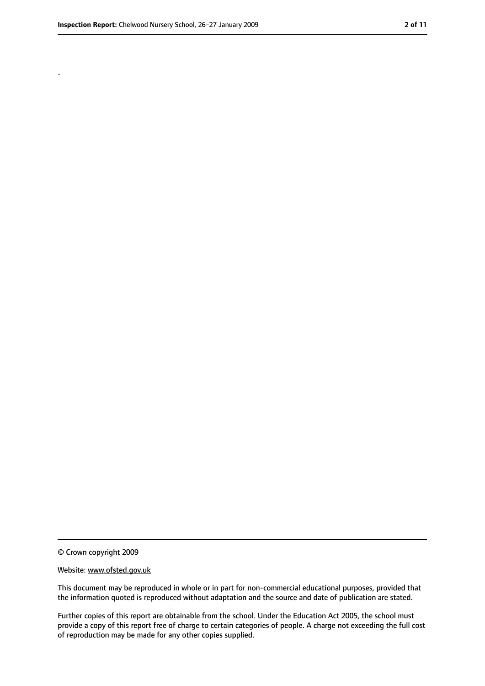.

<sup>©</sup> Crown copyright 2009

Website: www.ofsted.gov.uk

This document may be reproduced in whole or in part for non-commercial educational purposes, provided that the information quoted is reproduced without adaptation and the source and date of publication are stated.

Further copies of this report are obtainable from the school. Under the Education Act 2005, the school must provide a copy of this report free of charge to certain categories of people. A charge not exceeding the full cost of reproduction may be made for any other copies supplied.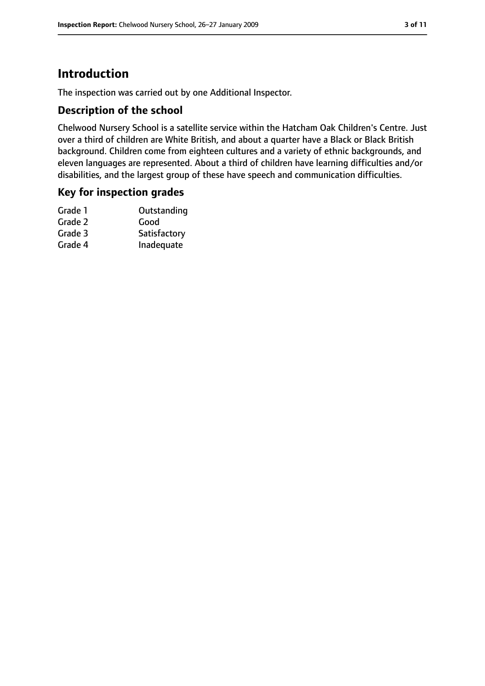### **Introduction**

The inspection was carried out by one Additional Inspector.

#### **Description of the school**

Chelwood Nursery School is a satellite service within the Hatcham Oak Children's Centre. Just over a third of children are White British, and about a quarter have a Black or Black British background. Children come from eighteen cultures and a variety of ethnic backgrounds, and eleven languages are represented. About a third of children have learning difficulties and/or disabilities, and the largest group of these have speech and communication difficulties.

#### **Key for inspection grades**

| Outstanding  |
|--------------|
| Good         |
| Satisfactory |
| Inadequate   |
|              |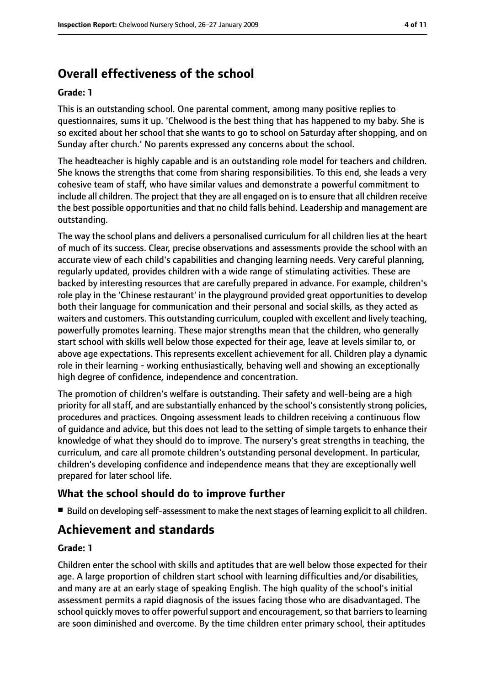### **Overall effectiveness of the school**

#### **Grade: 1**

This is an outstanding school. One parental comment, among many positive replies to questionnaires, sums it up. 'Chelwood is the best thing that has happened to my baby. She is so excited about her school that she wants to go to school on Saturday after shopping, and on Sunday after church.' No parents expressed any concerns about the school.

The headteacher is highly capable and is an outstanding role model for teachers and children. She knows the strengths that come from sharing responsibilities. To this end, she leads a very cohesive team of staff, who have similar values and demonstrate a powerful commitment to include all children. The project that they are all engaged on is to ensure that all children receive the best possible opportunities and that no child falls behind. Leadership and management are outstanding.

The way the school plans and delivers a personalised curriculum for all children lies at the heart of much of its success. Clear, precise observations and assessments provide the school with an accurate view of each child's capabilities and changing learning needs. Very careful planning, regularly updated, provides children with a wide range of stimulating activities. These are backed by interesting resources that are carefully prepared in advance. For example, children's role play in the 'Chinese restaurant' in the playground provided great opportunities to develop both their language for communication and their personal and social skills, as they acted as waiters and customers. This outstanding curriculum, coupled with excellent and lively teaching, powerfully promotes learning. These major strengths mean that the children, who generally start school with skills well below those expected for their age, leave at levels similar to, or above age expectations. This represents excellent achievement for all. Children play a dynamic role in their learning - working enthusiastically, behaving well and showing an exceptionally high degree of confidence, independence and concentration.

The promotion of children's welfare is outstanding. Their safety and well-being are a high priority for all staff, and are substantially enhanced by the school's consistently strong policies, procedures and practices. Ongoing assessment leads to children receiving a continuous flow of guidance and advice, but this does not lead to the setting of simple targets to enhance their knowledge of what they should do to improve. The nursery's great strengths in teaching, the curriculum, and care all promote children's outstanding personal development. In particular, children's developing confidence and independence means that they are exceptionally well prepared for later school life.

#### **What the school should do to improve further**

■ Build on developing self-assessment to make the next stages of learning explicit to all children.

### **Achievement and standards**

#### **Grade: 1**

Children enter the school with skills and aptitudes that are well below those expected for their age. A large proportion of children start school with learning difficulties and/or disabilities, and many are at an early stage of speaking English. The high quality of the school's initial assessment permits a rapid diagnosis of the issues facing those who are disadvantaged. The school quickly moves to offer powerful support and encouragement, so that barriers to learning are soon diminished and overcome. By the time children enter primary school, their aptitudes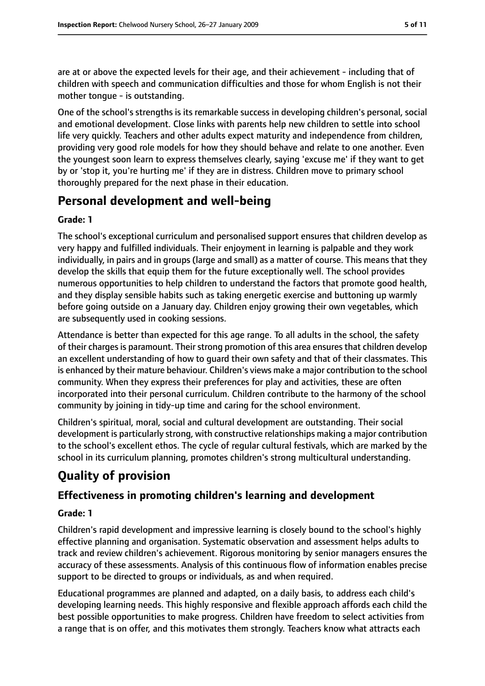are at or above the expected levels for their age, and their achievement - including that of children with speech and communication difficulties and those for whom English is not their mother tongue - is outstanding.

One of the school's strengths is its remarkable success in developing children's personal, social and emotional development. Close links with parents help new children to settle into school life very quickly. Teachers and other adults expect maturity and independence from children, providing very good role models for how they should behave and relate to one another. Even the youngest soon learn to express themselves clearly, saying 'excuse me' if they want to get by or 'stop it, you're hurting me' if they are in distress. Children move to primary school thoroughly prepared for the next phase in their education.

### **Personal development and well-being**

#### **Grade: 1**

The school's exceptional curriculum and personalised support ensures that children develop as very happy and fulfilled individuals. Their enjoyment in learning is palpable and they work individually, in pairs and in groups (large and small) as a matter of course. This means that they develop the skills that equip them for the future exceptionally well. The school provides numerous opportunities to help children to understand the factors that promote good health, and they display sensible habits such as taking energetic exercise and buttoning up warmly before going outside on a January day. Children enjoy growing their own vegetables, which are subsequently used in cooking sessions.

Attendance is better than expected for this age range. To all adults in the school, the safety of their charges is paramount. Their strong promotion of this area ensures that children develop an excellent understanding of how to guard their own safety and that of their classmates. This is enhanced by their mature behaviour. Children's views make a major contribution to the school community. When they express their preferences for play and activities, these are often incorporated into their personal curriculum. Children contribute to the harmony of the school community by joining in tidy-up time and caring for the school environment.

Children's spiritual, moral, social and cultural development are outstanding. Their social development is particularly strong, with constructive relationships making a major contribution to the school's excellent ethos. The cycle of regular cultural festivals, which are marked by the school in its curriculum planning, promotes children's strong multicultural understanding.

### **Quality of provision**

#### **Effectiveness in promoting children's learning and development**

#### **Grade: 1**

Children's rapid development and impressive learning is closely bound to the school's highly effective planning and organisation. Systematic observation and assessment helps adults to track and review children's achievement. Rigorous monitoring by senior managers ensures the accuracy of these assessments. Analysis of this continuous flow of information enables precise support to be directed to groups or individuals, as and when required.

Educational programmes are planned and adapted, on a daily basis, to address each child's developing learning needs. This highly responsive and flexible approach affords each child the best possible opportunities to make progress. Children have freedom to select activities from a range that is on offer, and this motivates them strongly. Teachers know what attracts each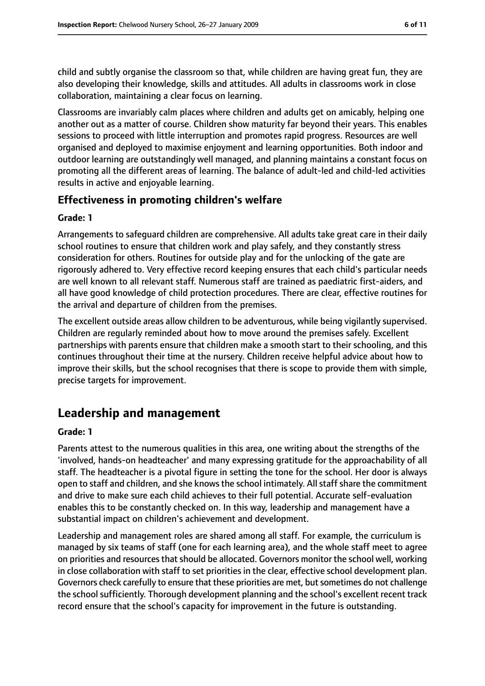child and subtly organise the classroom so that, while children are having great fun, they are also developing their knowledge, skills and attitudes. All adults in classrooms work in close collaboration, maintaining a clear focus on learning.

Classrooms are invariably calm places where children and adults get on amicably, helping one another out as a matter of course. Children show maturity far beyond their years. This enables sessions to proceed with little interruption and promotes rapid progress. Resources are well organised and deployed to maximise enjoyment and learning opportunities. Both indoor and outdoor learning are outstandingly well managed, and planning maintains a constant focus on promoting all the different areas of learning. The balance of adult-led and child-led activities results in active and enjoyable learning.

#### **Effectiveness in promoting children's welfare**

#### **Grade: 1**

Arrangements to safeguard children are comprehensive. All adults take great care in their daily school routines to ensure that children work and play safely, and they constantly stress consideration for others. Routines for outside play and for the unlocking of the gate are rigorously adhered to. Very effective record keeping ensures that each child's particular needs are well known to all relevant staff. Numerous staff are trained as paediatric first-aiders, and all have good knowledge of child protection procedures. There are clear, effective routines for the arrival and departure of children from the premises.

The excellent outside areas allow children to be adventurous, while being vigilantly supervised. Children are regularly reminded about how to move around the premises safely. Excellent partnerships with parents ensure that children make a smooth start to their schooling, and this continues throughout their time at the nursery. Children receive helpful advice about how to improve their skills, but the school recognises that there is scope to provide them with simple, precise targets for improvement.

### **Leadership and management**

#### **Grade: 1**

Parents attest to the numerous qualities in this area, one writing about the strengths of the 'involved, hands-on headteacher' and many expressing gratitude for the approachability of all staff. The headteacher is a pivotal figure in setting the tone for the school. Her door is always open to staff and children, and she knows the school intimately. All staff share the commitment and drive to make sure each child achieves to their full potential. Accurate self-evaluation enables this to be constantly checked on. In this way, leadership and management have a substantial impact on children's achievement and development.

Leadership and management roles are shared among all staff. For example, the curriculum is managed by six teams of staff (one for each learning area), and the whole staff meet to agree on priorities and resources that should be allocated. Governors monitor the school well, working in close collaboration with staff to set priorities in the clear, effective school development plan. Governors check carefully to ensure that these priorities are met, but sometimes do not challenge the school sufficiently. Thorough development planning and the school's excellent recent track record ensure that the school's capacity for improvement in the future is outstanding.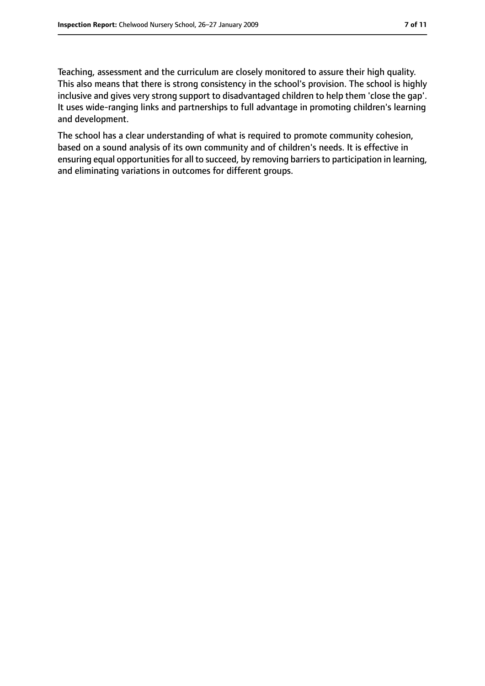Teaching, assessment and the curriculum are closely monitored to assure their high quality. This also means that there is strong consistency in the school's provision. The school is highly inclusive and gives very strong support to disadvantaged children to help them 'close the gap'. It uses wide-ranging links and partnerships to full advantage in promoting children's learning and development.

The school has a clear understanding of what is required to promote community cohesion, based on a sound analysis of its own community and of children's needs. It is effective in ensuring equal opportunities for all to succeed, by removing barriers to participation in learning, and eliminating variations in outcomes for different groups.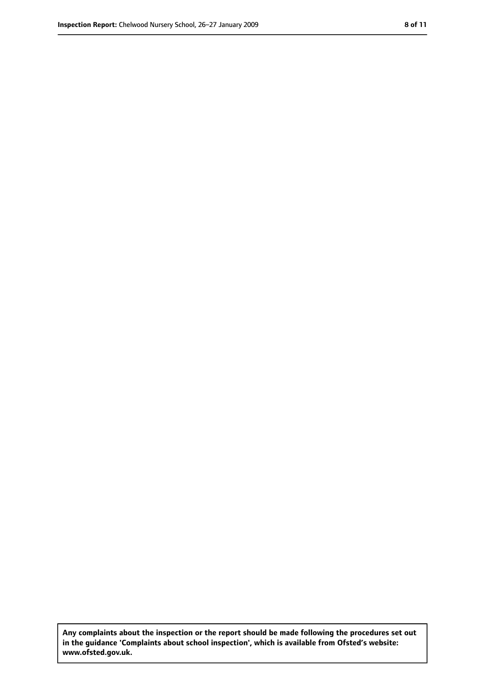**Any complaints about the inspection or the report should be made following the procedures set out in the guidance 'Complaints about school inspection', which is available from Ofsted's website: www.ofsted.gov.uk.**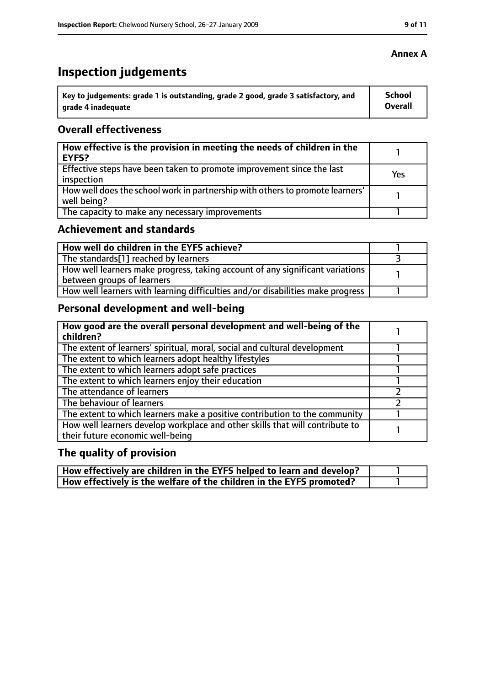## **Inspection judgements**

| ˈ Key to judgements: grade 1 is outstanding, grade 2 good, grade 3 satisfactory, and | <b>School</b> |
|--------------------------------------------------------------------------------------|---------------|
| grade 4 inadequate                                                                   | Overall       |

### **Overall effectiveness**

| How effective is the provision in meeting the needs of children in the<br>EYFS?              |     |
|----------------------------------------------------------------------------------------------|-----|
| Effective steps have been taken to promote improvement since the last<br>inspection          | Yes |
| How well does the school work in partnership with others to promote learners'<br>well being? |     |
| The capacity to make any necessary improvements                                              |     |

### **Achievement and standards**

| How well do children in the EYFS achieve?                                                                   |  |
|-------------------------------------------------------------------------------------------------------------|--|
| The standards[1] reached by learners                                                                        |  |
| How well learners make progress, taking account of any significant variations<br>between groups of learners |  |
| How well learners with learning difficulties and/or disabilities make progress                              |  |

### **Personal development and well-being**

| How good are the overall personal development and well-being of the<br>children?                                 |  |
|------------------------------------------------------------------------------------------------------------------|--|
| The extent of learners' spiritual, moral, social and cultural development                                        |  |
| The extent to which learners adopt healthy lifestyles                                                            |  |
| The extent to which learners adopt safe practices                                                                |  |
| The extent to which learners enjoy their education                                                               |  |
| The attendance of learners                                                                                       |  |
| The behaviour of learners                                                                                        |  |
| The extent to which learners make a positive contribution to the community                                       |  |
| How well learners develop workplace and other skills that will contribute to<br>their future economic well-being |  |

### **The quality of provision**

| How effectively are children in the EYFS helped to learn and develop? |  |
|-----------------------------------------------------------------------|--|
| How effectively is the welfare of the children in the EYFS promoted?  |  |

#### **Annex A**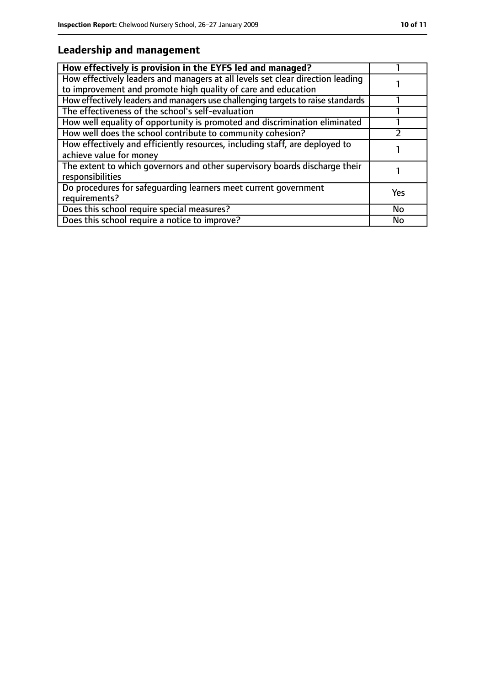### **Leadership and management**

| How effectively is provision in the EYFS led and managed?                                                                                       |           |
|-------------------------------------------------------------------------------------------------------------------------------------------------|-----------|
| How effectively leaders and managers at all levels set clear direction leading<br>to improvement and promote high quality of care and education |           |
| How effectively leaders and managers use challenging targets to raise standards                                                                 |           |
| The effectiveness of the school's self-evaluation                                                                                               |           |
| How well equality of opportunity is promoted and discrimination eliminated                                                                      |           |
| How well does the school contribute to community cohesion?                                                                                      |           |
| How effectively and efficiently resources, including staff, are deployed to<br>achieve value for money                                          |           |
| The extent to which governors and other supervisory boards discharge their<br>responsibilities                                                  |           |
| Do procedures for safeguarding learners meet current government<br>requirements?                                                                | Yes       |
| Does this school require special measures?                                                                                                      | <b>No</b> |
| Does this school require a notice to improve?                                                                                                   | No        |